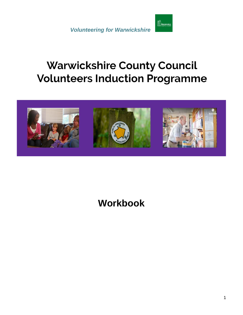# **Warwickshire County Council Volunteers Induction Programme**

**AS**<br>STY Warwickshire<br>UZI County Council



# **Workbook**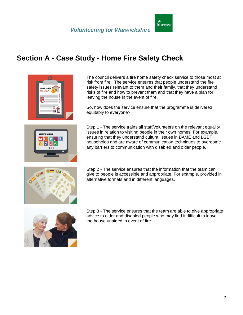

# **Section A - Case Study - Home Fire Safety Check**





The council delivers a fire home safety check service to those most at risk from fire. The service ensures that people understand the fire safety issues relevant to them and their family, that they understand risks of fire and how to prevent them and that they have a plan for leaving the house in the event of fire.

So, how does the service ensure that the programme is delivered equitably to everyone?

Step 1 - The service trains all staff/volunteers on the relevant equality issues in relation to visiting people in their own homes. For example, ensuring that they understand cultural issues in BAME and LGBT households and are aware of communication techniques to overcome any barriers to communication with disabled and older people.



Step 2 - The service ensures that the information that the team can give to people is accessible and appropriate. For example, provided in alternative formats and in different languages.



Step 3 - The service ensures that the team are able to give appropriate advice to older and disabled people who may find it difficult to leave the house unaided in event of fire.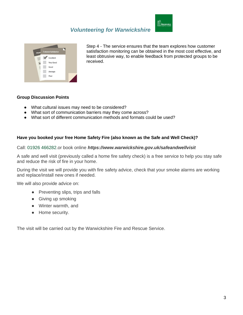



Step 4 - The service ensures that the team explores how customer satisfaction monitoring can be obtained in the most cost effective, and least obtrusive way, to enable feedback from protected groups to be received.

## **Group Discussion Points**

- What cultural issues may need to be considered?
- What sort of communication barriers may they come across?
- What sort of different communication methods and formats could be used?

## **Have you booked your free Home Safety Fire (also known as the Safe and Well Check)?**

## Call: 01926 466282.or book online *https://www.warwickshire.gov.uk/safeandwellvisit*

A safe and well visit (previously called a home fire safety check) is a free service to help you stay safe and reduce the risk of fire in your home.

During the visit we will provide you with fire safety advice, check that your smoke alarms are working and replace/install new ones if needed.

We will also provide advice on:

- Preventing slips, trips and falls
- Giving up smoking
- Winter warmth, and
- Home security.

The visit will be carried out by the Warwickshire Fire and Rescue Service.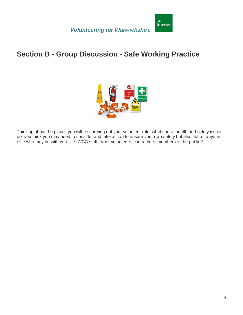

# **Section B - Group Discussion - Safe Working Practice**



Thinking about the places you will be carrying out your volunteer role, what sort of health and safety issues do you think you may need to consider and take action to ensure your own safety but also that of anyone else who may be with you , i.e. WCC staff, other volunteers, contractors, members of the public?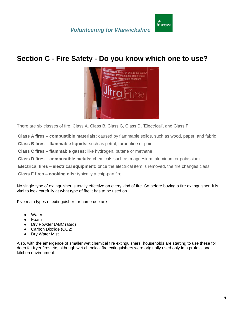

# **Section C - Fire Safety - Do you know which one to use?**



There are six classes of fire: Class A, Class B, Class C, Class D, 'Electrical', and Class F.

**Class A fires – combustible materials:** caused by flammable solids, such as wood, paper, and fabric

**Class B fires – flammable liquids:** such as petrol, turpentine or paint

**Class C fires – flammable gases:** like hydrogen, butane or methane

**Class D fires – combustible metals:** chemicals such as magnesium, aluminum or potassium

**Electrical fires – electrical equipment:** once the electrical item is removed, the fire changes class

**Class F fires – cooking oils:** typically a chip-pan fire

No single type of extinguisher is totally effective on every kind of fire. So before buying a fire extinguisher, it is vital to look carefully at what type of fire it has to be used on.

Five main types of extinguisher for home use are:

- [Water](https://www.safelincs.co.uk/water-fire-extinguishers/?referrer=fireservice)
- [Foam](https://www.safelincs.co.uk/foam-fire-extinguishers/?referrer=fireservice)
- [Dry Powder \(ABC rated\)](https://www.safelincs.co.uk/powder-fire-extinguishers/?referrer=fireservice)
- [Carbon Dioxide \(CO2\)](https://www.safelincs.co.uk/co2-fire-extinguishers/?referrer=fireservice)
- [Dry Water Mist](https://www.safelincs.co.uk/e-series-water-mist-fire-extinguishers/?referrer=fireservice)

Also, with the emergence of smaller [wet chemical fire extinguishers,](https://www.safelincs.co.uk/wet-chemical-fire-extinguishers/?referrer=fireservice) households are starting to use these for deep fat fryer fires etc, although wet chemical fire extinguishers were originally used only in a professional kitchen environment.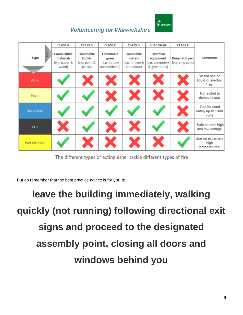

|                      | <b>CLASS A</b>                                     | <b>CLASS B</b>                                   | <b>CLASS C</b>                                     | <b>CLASS D</b>                                       | Electrical                                                  | <b>CLASS F</b>                      |                                              |
|----------------------|----------------------------------------------------|--------------------------------------------------|----------------------------------------------------|------------------------------------------------------|-------------------------------------------------------------|-------------------------------------|----------------------------------------------|
| Type<br>Extinguisher | Combustible<br>materials<br>(e.g. paper &<br>(wood | Flammable<br>liquids<br>(e.g. paint &<br>petrol) | Flammable<br>gases<br>(e.g. butane<br>and methane) | Flammable<br>metals<br>(e.g. lithium &<br>potassium) | Electrical<br>equipment<br>(e.g. computers<br>& generators) | Deep fat fryers<br>(e.g. chip pans) | Comments                                     |
| Water                |                                                    |                                                  |                                                    |                                                      |                                                             |                                     | Do not use on<br>liquid or electric<br>fires |
| Foam                 |                                                    |                                                  |                                                    |                                                      |                                                             |                                     | Not suited to<br>domestic use                |
| <b>Dry Powder</b>    |                                                    |                                                  |                                                    |                                                      |                                                             |                                     | Can be used<br>safely up to 1000<br>volts    |
| CO <sub>2</sub>      |                                                    |                                                  |                                                    |                                                      |                                                             |                                     | Safe on both high<br>and low voltage         |
| <b>Wet Chemical</b>  |                                                    |                                                  |                                                    |                                                      |                                                             |                                     | Use on extremely<br>high<br>temperatures     |

The different types of extinguisher tackle different types of fire

But do remember that the best practice advice is for you to

# **leave the building immediately, walking quickly (not running) following directional exit signs and proceed to the designated assembly point, closing all doors and windows behind you**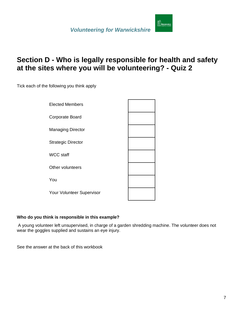

# **Section D - Who is legally responsible for health and safety at the sites where you will be volunteering? - Quiz 2**

Tick each of the following you think apply

| <b>Elected Members</b>    |  |
|---------------------------|--|
| Corporate Board           |  |
| <b>Managing Director</b>  |  |
| <b>Strategic Director</b> |  |
| <b>WCC staff</b>          |  |
| Other volunteers          |  |
| You                       |  |
| Your Volunteer Supervisor |  |

## **Who do you think is responsible in this example?**

A young volunteer left unsupervised, in charge of a garden shredding machine. The volunteer does not wear the goggles supplied and sustains an eye injury.

See the answer at the back of this workbook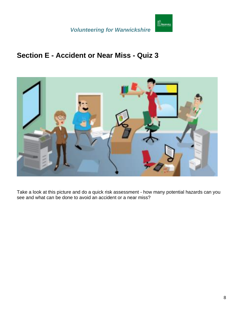

# **Section E - Accident or Near Miss - Quiz 3**



Take a look at this picture and do a quick risk assessment - how many potential hazards can you see and what can be done to avoid an accident or a near miss?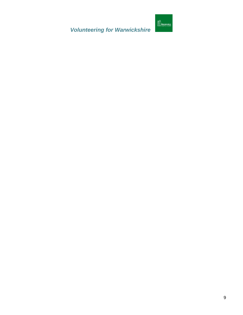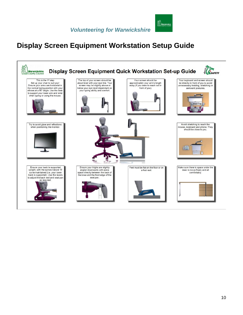

**ASS**<br>CLA Warwickshire<br>CLA County Council

# **Display Screen Equipment Workstation Setup Guide**

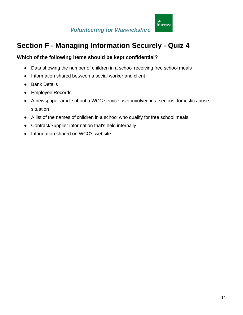**AS**<br>ULL Marwicks

# **Section F - Managing Information Securely - Quiz 4**

# **Which of the following items should be kept confidential?**

- Data showing the number of children in a school receiving free school meals
- Information shared between a social worker and client
- Bank Details
- Employee Records
- A newspaper article about a WCC service user involved in a serious domestic abuse situation
- A list of the names of children in a school who qualify for free school meals
- Contract/Supplier information that's held internally
- Information shared on WCC's website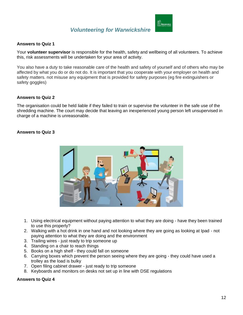

## **Answers to Quiz 1**

Your **volunteer supervisor** is responsible for the health, safety and wellbeing of all volunteers. To achieve this, risk assessments will be undertaken for your area of activity.

You also have a duty to take reasonable care of the health and safety of yourself and of others who may be affected by what you do or do not do. It is important that you cooperate with your employer on health and safety matters. not misuse any equipment that is provided for safety purposes (eg fire extinguishers or safety goggles)

## **Answers to Quiz 2**

The organisation could be held liable if they failed to train or supervise the volunteer in the safe use of the shredding machine. The court may decide that leaving an inexperienced young person left unsupervised in charge of a machine is unreasonable.

## **Answers to Quiz 3**



- 1. Using electrical equipment without paying attention to what they are doing have they been trained to use this properly?
- 2. Walking with a hot drink in one hand and not looking where they are going as looking at Ipad not paying attention to what they are doing and the environment
- 3. Trailing wires just ready to trip someone up
- 4. Standing on a chair to reach things
- 5. Books on a high shelf they could fall on someone
- 6. Carrying boxes which prevent the person seeing where they are going they could have used a trolley as the load is bulky
- 7. Open filing cabinet drawer just ready to trip someone
- 8. Keyboards and monitors on desks not set up in line with DSE regulations

## **Answers to Quiz 4**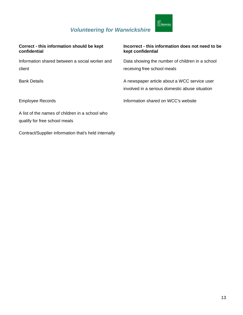

Contract/Supplier information that's held internally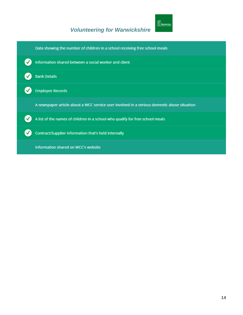